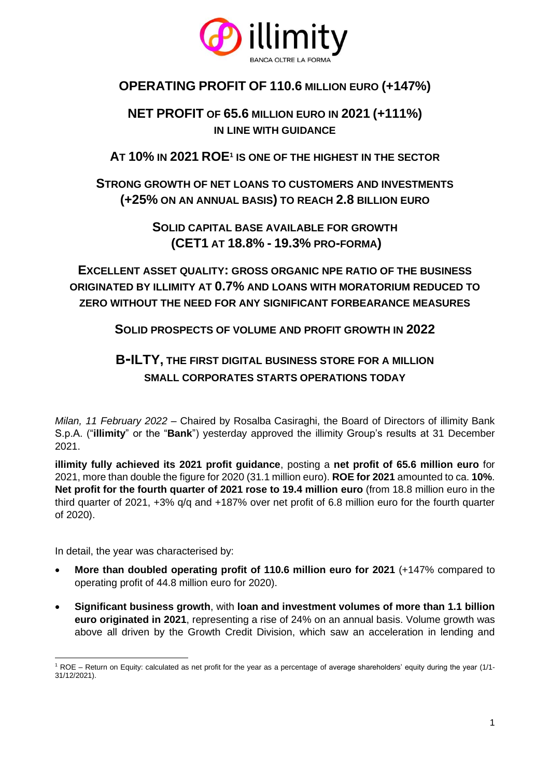

## **OPERATING PROFIT OF 110.6 MILLION EURO (+147%)**

## **NET PROFIT OF 65.6 MILLION EURO IN 2021 (+111%) IN LINE WITH GUIDANCE**

## **AT 10% IN 2021 ROE<sup>1</sup> IS ONE OF THE HIGHEST IN THE SECTOR**

## **STRONG GROWTH OF NET LOANS TO CUSTOMERS AND INVESTMENTS (+25% ON AN ANNUAL BASIS) TO REACH 2.8 BILLION EURO**

**SOLID CAPITAL BASE AVAILABLE FOR GROWTH (CET1 AT 18.8% - 19.3% PRO-FORMA)**

**EXCELLENT ASSET QUALITY: GROSS ORGANIC NPE RATIO OF THE BUSINESS ORIGINATED BY ILLIMITY AT 0.7% AND LOANS WITH MORATORIUM REDUCED TO ZERO WITHOUT THE NEED FOR ANY SIGNIFICANT FORBEARANCE MEASURES**

**SOLID PROSPECTS OF VOLUME AND PROFIT GROWTH IN 2022**

# **B-ILTY, THE FIRST DIGITAL BUSINESS STORE FOR A MILLION SMALL CORPORATES STARTS OPERATIONS TODAY**

*Milan, 11 February 2022* – Chaired by Rosalba Casiraghi, the Board of Directors of illimity Bank S.p.A. ("**illimity**" or the "**Bank**") yesterday approved the illimity Group's results at 31 December 2021.

**illimity fully achieved its 2021 profit guidance**, posting a **net profit of 65.6 million euro** for 2021, more than double the figure for 2020 (31.1 million euro). **ROE for 2021** amounted to ca. **10%**. **Net profit for the fourth quarter of 2021 rose to 19.4 million euro** (from 18.8 million euro in the third quarter of 2021, +3% q/q and +187% over net profit of 6.8 million euro for the fourth quarter of 2020).

In detail, the year was characterised by:

- **More than doubled operating profit of 110.6 million euro for 2021** (+147% compared to operating profit of 44.8 million euro for 2020).
- **Significant business growth**, with **loan and investment volumes of more than 1.1 billion euro originated in 2021**, representing a rise of 24% on an annual basis. Volume growth was above all driven by the Growth Credit Division, which saw an acceleration in lending and

<sup>&</sup>lt;sup>1</sup> ROE – Return on Equity: calculated as net profit for the year as a percentage of average shareholders' equity during the year (1/1-31/12/2021).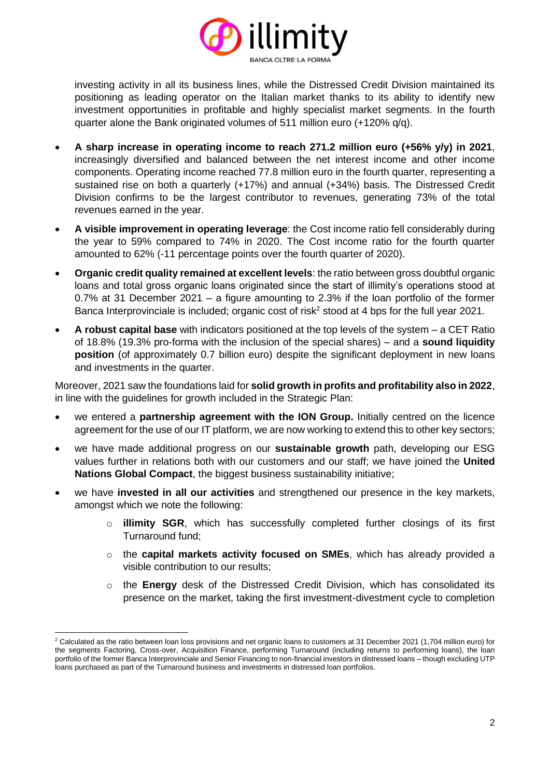

investing activity in all its business lines, while the Distressed Credit Division maintained its positioning as leading operator on the Italian market thanks to its ability to identify new investment opportunities in profitable and highly specialist market segments. In the fourth quarter alone the Bank originated volumes of 511 million euro (+120% q/q).

- **A sharp increase in operating income to reach 271.2 million euro (+56% y/y) in 2021**, increasingly diversified and balanced between the net interest income and other income components. Operating income reached 77.8 million euro in the fourth quarter, representing a sustained rise on both a quarterly (+17%) and annual (+34%) basis. The Distressed Credit Division confirms to be the largest contributor to revenues, generating 73% of the total revenues earned in the year.
- **A visible improvement in operating leverage**: the Cost income ratio fell considerably during the year to 59% compared to 74% in 2020. The Cost income ratio for the fourth quarter amounted to 62% (-11 percentage points over the fourth quarter of 2020).
- **Organic credit quality remained at excellent levels**: the ratio between gross doubtful organic loans and total gross organic loans originated since the start of illimity's operations stood at 0.7% at 31 December 2021 – a figure amounting to 2.3% if the loan portfolio of the former Banca Interprovinciale is included; organic cost of risk<sup>2</sup> stood at 4 bps for the full year 2021.
- **A robust capital base** with indicators positioned at the top levels of the system a CET Ratio of 18.8% (19.3% pro-forma with the inclusion of the special shares) – and a **sound liquidity position** (of approximately 0.7 billion euro) despite the significant deployment in new loans and investments in the quarter.

Moreover, 2021 saw the foundations laid for **solid growth in profits and profitability also in 2022**, in line with the guidelines for growth included in the Strategic Plan:

- we entered a **partnership agreement with the ION Group.** Initially centred on the licence agreement for the use of our IT platform, we are now working to extend this to other key sectors;
- we have made additional progress on our **sustainable growth** path, developing our ESG values further in relations both with our customers and our staff; we have joined the **United Nations Global Compact**, the biggest business sustainability initiative;
- we have **invested in all our activities** and strengthened our presence in the key markets, amongst which we note the following:
	- o **illimity SGR**, which has successfully completed further closings of its first Turnaround fund;
	- o the **capital markets activity focused on SMEs**, which has already provided a visible contribution to our results;
	- o the **Energy** desk of the Distressed Credit Division, which has consolidated its presence on the market, taking the first investment-divestment cycle to completion

<sup>&</sup>lt;sup>2</sup> Calculated as the ratio between loan loss provisions and net organic loans to customers at 31 December 2021 (1,704 million euro) for the segments Factoring, Cross-over, Acquisition Finance, performing Turnaround (including returns to performing loans), the loan portfolio of the former Banca Interprovinciale and Senior Financing to non-financial investors in distressed loans – though excluding UTP loans purchased as part of the Turnaround business and investments in distressed loan portfolios.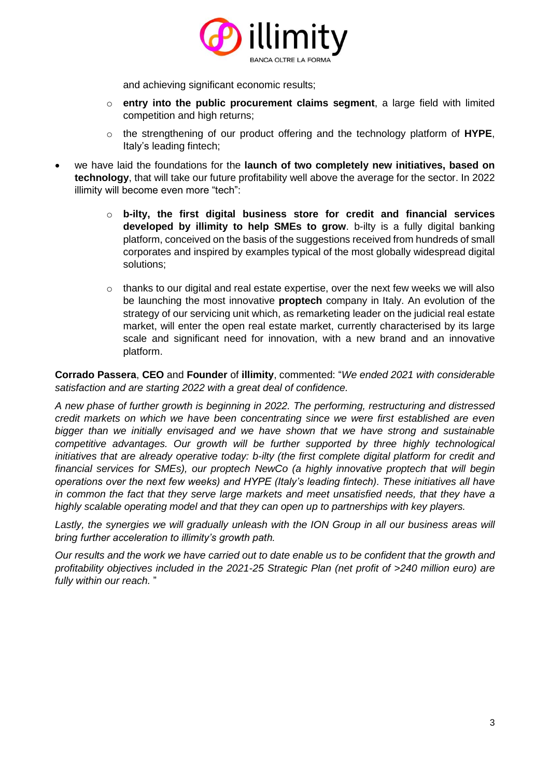

and achieving significant economic results;

- o **entry into the public procurement claims segment**, a large field with limited competition and high returns;
- o the strengthening of our product offering and the technology platform of **HYPE**, Italy's leading fintech;
- we have laid the foundations for the **launch of two completely new initiatives, based on technology**, that will take our future profitability well above the average for the sector. In 2022 illimity will become even more "tech":
	- o **b-ilty, the first digital business store for credit and financial services developed by illimity to help SMEs to grow**. b-ilty is a fully digital banking platform, conceived on the basis of the suggestions received from hundreds of small corporates and inspired by examples typical of the most globally widespread digital solutions;
	- $\circ$  thanks to our digital and real estate expertise, over the next few weeks we will also be launching the most innovative **proptech** company in Italy. An evolution of the strategy of our servicing unit which, as remarketing leader on the judicial real estate market, will enter the open real estate market, currently characterised by its large scale and significant need for innovation, with a new brand and an innovative platform.

**Corrado Passera**, **CEO** and **Founder** of **illimity**, commented: "*We ended 2021 with considerable satisfaction and are starting 2022 with a great deal of confidence.*

*A new phase of further growth is beginning in 2022. The performing, restructuring and distressed credit markets on which we have been concentrating since we were first established are even bigger than we initially envisaged and we have shown that we have strong and sustainable competitive advantages. Our growth will be further supported by three highly technological initiatives that are already operative today: b-ilty (the first complete digital platform for credit and financial services for SMEs), our proptech NewCo (a highly innovative proptech that will begin operations over the next few weeks) and HYPE (Italy's leading fintech). These initiatives all have in common the fact that they serve large markets and meet unsatisfied needs, that they have a highly scalable operating model and that they can open up to partnerships with key players.*

*Lastly, the synergies we will gradually unleash with the ION Group in all our business areas will bring further acceleration to illimity's growth path.*

*Our results and the work we have carried out to date enable us to be confident that the growth and profitability objectives included in the 2021-25 Strategic Plan (net profit of >240 million euro) are fully within our reach.* "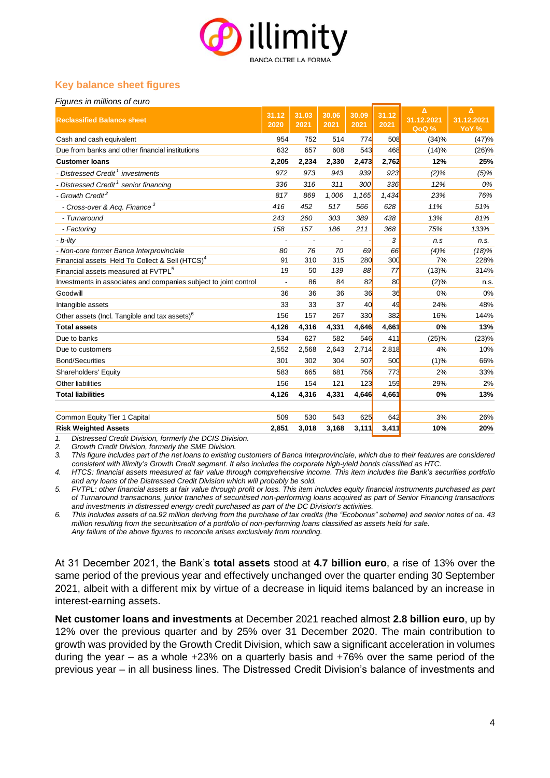

### **Key balance sheet figures**

#### *Figures in millions of euro*

| <b>Reclassified Balance sheet</b>                                | 31.12<br>$\overline{2020}$ | 31.03<br>2021            | 30.06<br>2021 | 30.09<br>2021 | 31.12<br>2021 | Δ<br>31.12.2021<br>QoQ % | Δ<br>31.12.2021<br>YoY % |
|------------------------------------------------------------------|----------------------------|--------------------------|---------------|---------------|---------------|--------------------------|--------------------------|
| Cash and cash equivalent                                         | 954                        | 752                      | 514           | 774           | 508           | (34)%                    | (47)%                    |
| Due from banks and other financial institutions                  | 632                        | 657                      | 608           | 543           | 468           | (14)%                    | (26)%                    |
| <b>Customer loans</b>                                            | 2,205                      | 2,234                    | 2,330         | 2,473         | 2,762         | 12%                      | 25%                      |
| - Distressed Credit <sup>1</sup> investments                     | 972                        | 973                      | 943           | 939           | 923           | (2)%                     | $(5)\%$                  |
| - Distressed Credit <sup>1</sup> senior financing                | 336                        | 316                      | 311           | 300           | 336           | 12%                      | 0%                       |
| - Growth Credit <sup>2</sup>                                     | 817                        | 869                      | 1,006         | 1,165         | 1,434         | 23%                      | 76%                      |
| - Cross-over & Acq. Finance <sup>3</sup>                         | 416                        | 452                      | 517           | 566           | 628           | 11%                      | 51%                      |
| - Turnaround                                                     | 243                        | 260                      | 303           | 389           | 438           | 13%                      | 81%                      |
| - Factoring                                                      | 158                        | 157                      | 186           | 211           | 368           | 75%                      | 133%                     |
| - b-ilty                                                         |                            | $\overline{\phantom{a}}$ |               |               | 3             | n.s                      | n.s.                     |
| - Non-core former Banca Interprovinciale                         | 80                         | 76                       | 70            | 69            | 66            | (4)%                     | (18)%                    |
| Financial assets Held To Collect & Sell (HTCS) <sup>4</sup>      | 91                         | 310                      | 315           | 280           | 300           | 7%                       | 228%                     |
| Financial assets measured at FVTPL <sup>5</sup>                  | 19                         | 50                       | 139           | 88            | 77            | (13)%                    | 314%                     |
| Investments in associates and companies subject to joint control | ÷,                         | 86                       | 84            | 82            | 80            | (2)%                     | n.s.                     |
| Goodwill                                                         | 36                         | 36                       | 36            | 36            | 36            | 0%                       | 0%                       |
| Intangible assets                                                | 33                         | 33                       | 37            | 40            | 49            | 24%                      | 48%                      |
| Other assets (Incl. Tangible and tax assets) <sup>6</sup>        | 156                        | 157                      | 267           | 330           | 382           | 16%                      | 144%                     |
| <b>Total assets</b>                                              | 4,126                      | 4,316                    | 4,331         | 4,646         | 4,661         | 0%                       | 13%                      |
| Due to banks                                                     | 534                        | 627                      | 582           | 546           | 411           | (25)%                    | (23)%                    |
| Due to customers                                                 | 2,552                      | 2,568                    | 2,643         | 2,714         | 2,818         | 4%                       | 10%                      |
| <b>Bond/Securities</b>                                           | 301                        | 302                      | 304           | 507           | 500           | (1)%                     | 66%                      |
| Shareholders' Equity                                             | 583                        | 665                      | 681           | 756           | 773           | 2%                       | 33%                      |
| Other liabilities                                                | 156                        | 154                      | 121           | 123           | 159           | 29%                      | 2%                       |
| <b>Total liabilities</b>                                         | 4,126                      | 4,316                    | 4,331         | 4,646         | 4,661         | 0%                       | 13%                      |
| Common Equity Tier 1 Capital                                     | 509                        | 530                      | 543           | 625           | 642           | 3%                       | 26%                      |
| <b>Risk Weighted Assets</b>                                      | 2,851                      | 3,018                    | 3,168         | 3,111         | 3,411         | 10%                      | 20%                      |

*2. Growth Credit Division, formerly the SME Division.*

*1. Distressed Credit Division, formerly the DCIS Division. 3. This figure includes part of the net loans to existing customers of Banca Interprovinciale, which due to their features are considered consistent with illimity's Growth Credit segment. It also includes the corporate high-yield bonds classified as HTC.*

*4. HTCS: financial assets measured at fair value through comprehensive income. This item includes the Bank's securities portfolio and any loans of the Distressed Credit Division which will probably be sold.*

*5. FVTPL: other financial assets at fair value through profit or loss. This item includes equity financial instruments purchased as part of Turnaround transactions, junior tranches of securitised non-performing loans acquired as part of Senior Financing transactions and investments in distressed energy credit purchased as part of the DC Division's activities.* 

*6. This includes assets of ca.92 million deriving from the purchase of tax credits (the "Ecobonus" scheme) and senior notes of ca. 43 million resulting from the securitisation of a portfolio of non-performing loans classified as assets held for sale. Any failure of the above figures to reconcile arises exclusively from rounding.*

At 31 December 2021, the Bank's **total assets** stood at **4.7 billion euro**, a rise of 13% over the same period of the previous year and effectively unchanged over the quarter ending 30 September 2021, albeit with a different mix by virtue of a decrease in liquid items balanced by an increase in interest-earning assets.

**Net customer loans and investments** at December 2021 reached almost **2.8 billion euro**, up by 12% over the previous quarter and by 25% over 31 December 2020. The main contribution to growth was provided by the Growth Credit Division, which saw a significant acceleration in volumes during the year – as a whole +23% on a quarterly basis and +76% over the same period of the previous year – in all business lines. The Distressed Credit Division's balance of investments and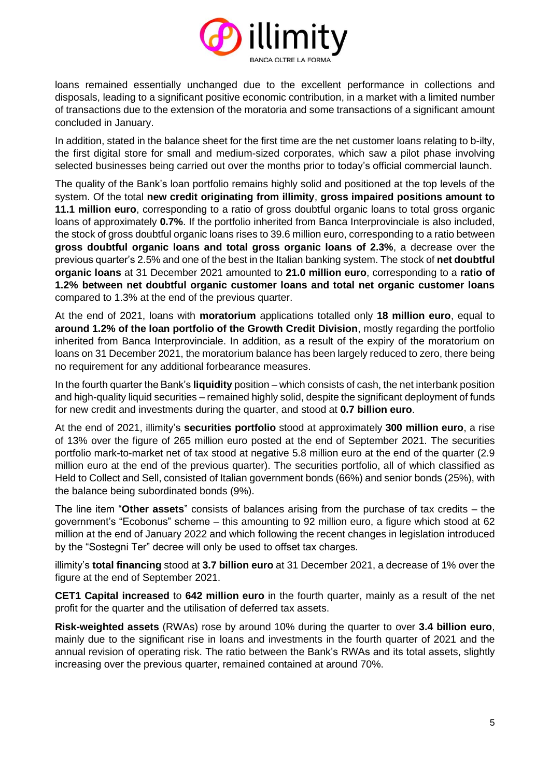

loans remained essentially unchanged due to the excellent performance in collections and disposals, leading to a significant positive economic contribution, in a market with a limited number of transactions due to the extension of the moratoria and some transactions of a significant amount concluded in January.

In addition, stated in the balance sheet for the first time are the net customer loans relating to b-ilty, the first digital store for small and medium-sized corporates, which saw a pilot phase involving selected businesses being carried out over the months prior to today's official commercial launch.

The quality of the Bank's loan portfolio remains highly solid and positioned at the top levels of the system. Of the total **new credit originating from illimity**, **gross impaired positions amount to 11.1 million euro**, corresponding to a ratio of gross doubtful organic loans to total gross organic loans of approximately **0.7%**. If the portfolio inherited from Banca Interprovinciale is also included, the stock of gross doubtful organic loans rises to 39.6 million euro, corresponding to a ratio between **gross doubtful organic loans and total gross organic loans of 2.3%**, a decrease over the previous quarter's 2.5% and one of the best in the Italian banking system. The stock of **net doubtful organic loans** at 31 December 2021 amounted to **21.0 million euro**, corresponding to a **ratio of 1.2% between net doubtful organic customer loans and total net organic customer loans** compared to 1.3% at the end of the previous quarter.

At the end of 2021, loans with **moratorium** applications totalled only **18 million euro**, equal to **around 1.2% of the loan portfolio of the Growth Credit Division**, mostly regarding the portfolio inherited from Banca Interprovinciale. In addition, as a result of the expiry of the moratorium on loans on 31 December 2021, the moratorium balance has been largely reduced to zero, there being no requirement for any additional forbearance measures.

In the fourth quarter the Bank's **liquidity** position – which consists of cash, the net interbank position and high-quality liquid securities – remained highly solid, despite the significant deployment of funds for new credit and investments during the quarter, and stood at **0.7 billion euro**.

At the end of 2021, illimity's **securities portfolio** stood at approximately **300 million euro**, a rise of 13% over the figure of 265 million euro posted at the end of September 2021. The securities portfolio mark-to-market net of tax stood at negative 5.8 million euro at the end of the quarter (2.9 million euro at the end of the previous quarter). The securities portfolio, all of which classified as Held to Collect and Sell, consisted of Italian government bonds (66%) and senior bonds (25%), with the balance being subordinated bonds (9%).

The line item "**Other assets**" consists of balances arising from the purchase of tax credits – the government's "Ecobonus" scheme – this amounting to 92 million euro, a figure which stood at 62 million at the end of January 2022 and which following the recent changes in legislation introduced by the "Sostegni Ter" decree will only be used to offset tax charges.

illimity's **total financing** stood at **3.7 billion euro** at 31 December 2021, a decrease of 1% over the figure at the end of September 2021.

**CET1 Capital increased** to **642 million euro** in the fourth quarter, mainly as a result of the net profit for the quarter and the utilisation of deferred tax assets.

**Risk-weighted assets** (RWAs) rose by around 10% during the quarter to over **3.4 billion euro**, mainly due to the significant rise in loans and investments in the fourth quarter of 2021 and the annual revision of operating risk. The ratio between the Bank's RWAs and its total assets, slightly increasing over the previous quarter, remained contained at around 70%.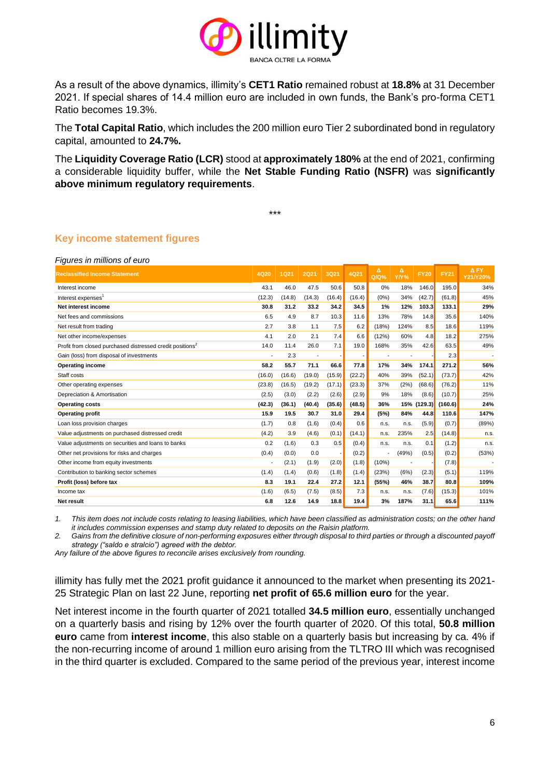

As a result of the above dynamics, illimity's **CET1 Ratio** remained robust at **18.8%** at 31 December 2021. If special shares of 14.4 million euro are included in own funds, the Bank's pro-forma CET1 Ratio becomes 19.3%.

The **Total Capital Ratio**, which includes the 200 million euro Tier 2 subordinated bond in regulatory capital, amounted to **24.7%.**

The **Liquidity Coverage Ratio (LCR)** stood at **approximately 180%** at the end of 2021, confirming a considerable liquidity buffer, while the **Net Stable Funding Ratio (NSFR)** was **significantly above minimum regulatory requirements**.

\*\*\*

**Key income statement figures**

*Figures in millions of euro*

| <b>Reclassified Income Statement</b>                                  | <b>4Q20</b> | 1Q21   | <b>2Q21</b>              | <b>3Q21</b> | 4Q21   | $\Delta$<br>$Q/Q$ % | Δ<br>Y/Y% | <b>FY20</b> | <b>FY21</b> | A FY<br>Y21/Y20% |
|-----------------------------------------------------------------------|-------------|--------|--------------------------|-------------|--------|---------------------|-----------|-------------|-------------|------------------|
| Interest income                                                       | 43.1        | 46.0   | 47.5                     | 50.6        | 50.8   | 0%                  | 18%       | 146.0       | 195.0       | 34%              |
| Interest expenses <sup>1</sup>                                        | (12.3)      | (14.8) | (14.3)                   | (16.4)      | (16.4) | (0%)                | 34%       | (42.7)      | (61.8)      | 45%              |
| Net interest income                                                   | 30.8        | 31.2   | 33.2                     | 34.2        | 34.5   | 1%                  | 12%       | 103.3       | 133.1       | 29%              |
| Net fees and commissions                                              | 6.5         | 4.9    | 8.7                      | 10.3        | 11.6   | 13%                 | 78%       | 14.8        | 35.6        | 140%             |
| Net result from trading                                               | 2.7         | 3.8    | 1.1                      | 7.5         | 6.2    | (18%)               | 124%      | 8.5         | 18.6        | 119%             |
| Net other income/expenses                                             | 4.1         | 2.0    | 2.1                      | 7.4         | 6.6    | (12%)               | 60%       | 4.8         | 18.2        | 275%             |
| Profit from closed purchased distressed credit positions <sup>2</sup> | 14.0        | 11.4   | 26.0                     | 7.1         | 19.0   | 168%                | 35%       | 42.6        | 63.5        | 49%              |
| Gain (loss) from disposal of investments                              |             | 2.3    | $\overline{\phantom{a}}$ |             |        |                     |           |             | 2.3         |                  |
| Operating income                                                      | 58.2        | 55.7   | 71.1                     | 66.6        | 77.8   | 17%                 | 34%       | 174.1       | 271.2       | 56%              |
| Staff costs                                                           | (16.0)      | (16.6) | (19.0)                   | (15.9)      | (22.2) | 40%                 | 39%       | (52.1)      | (73.7)      | 42%              |
| Other operating expenses                                              | (23.8)      | (16.5) | (19.2)                   | (17.1)      | (23.3) | 37%                 | (2%)      | (68.6)      | (76.2)      | 11%              |
| Depreciation & Amortisation                                           | (2.5)       | (3.0)  | (2.2)                    | (2.6)       | (2.9)  | 9%                  | 18%       | (8.6)       | (10.7)      | 25%              |
| <b>Operating costs</b>                                                | (42.3)      | (36.1) | (40.4)                   | (35.6)      | (48.5) | 36%                 |           | 15% (129.3) | (160.6)     | 24%              |
| <b>Operating profit</b>                                               | 15.9        | 19.5   | 30.7                     | 31.0        | 29.4   | (5%)                | 84%       | 44.8        | 110.6       | 147%             |
| Loan loss provision charges                                           | (1.7)       | 0.8    | (1.6)                    | (0.4)       | 0.6    | n.s.                | n.s.      | (5.9)       | (0.7)       | (89%)            |
| Value adjustments on purchased distressed credit                      | (4.2)       | 3.9    | (4.6)                    | (0.1)       | (14.1) | n.s.                | 235%      | 2.5         | (14.8)      | n.s.             |
| Value adjustments on securities and loans to banks                    | 0.2         | (1.6)  | 0.3                      | 0.5         | (0.4)  | n.s.                | n.s.      | 0.1         | (1.2)       | n.s.             |
| Other net provisions for risks and charges                            | (0.4)       | (0.0)  | 0.0                      |             | (0.2)  |                     | (49%)     | (0.5)       | (0.2)       | (53%)            |
| Other income from equity investments                                  |             | (2.1)  | (1.9)                    | (2.0)       | (1.8)  | (10%)               |           |             | (7.8)       |                  |
| Contribution to banking sector schemes                                | (1.4)       | (1.4)  | (0.6)                    | (1.8)       | (1.4)  | (23%)               | (6%)      | (2.3)       | (5.1)       | 119%             |
| Profit (loss) before tax                                              | 8.3         | 19.1   | 22.4                     | 27.2        | 12.1   | (55%)               | 46%       | 38.7        | 80.8        | 109%             |
| Income tax                                                            | (1.6)       | (6.5)  | (7.5)                    | (8.5)       | 7.3    | n.s.                | n.s.      | (7.6)       | (15.3)      | 101%             |
| <b>Net result</b>                                                     | 6.8         | 12.6   | 14.9                     | 18.8        | 19.4   | 3%                  | 187%      | 31.1        | 65.6        | 111%             |

*1. This item does not include costs relating to leasing liabilities, which have been classified as administration costs; on the other hand it includes commission expenses and stamp duty related to deposits on the Raisin platform.* 

*2. Gains from the definitive closure of non-performing exposures either through disposal to third parties or through a discounted payoff strategy ("saldo e stralcio") agreed with the debtor.* 

*Any failure of the above figures to reconcile arises exclusively from rounding.*

illimity has fully met the 2021 profit guidance it announced to the market when presenting its 2021- 25 Strategic Plan on last 22 June, reporting **net profit of 65.6 million euro** for the year.

Net interest income in the fourth quarter of 2021 totalled **34.5 million euro**, essentially unchanged on a quarterly basis and rising by 12% over the fourth quarter of 2020. Of this total, **50.8 million euro** came from **interest income**, this also stable on a quarterly basis but increasing by ca. 4% if the non-recurring income of around 1 million euro arising from the TLTRO III which was recognised in the third quarter is excluded. Compared to the same period of the previous year, interest income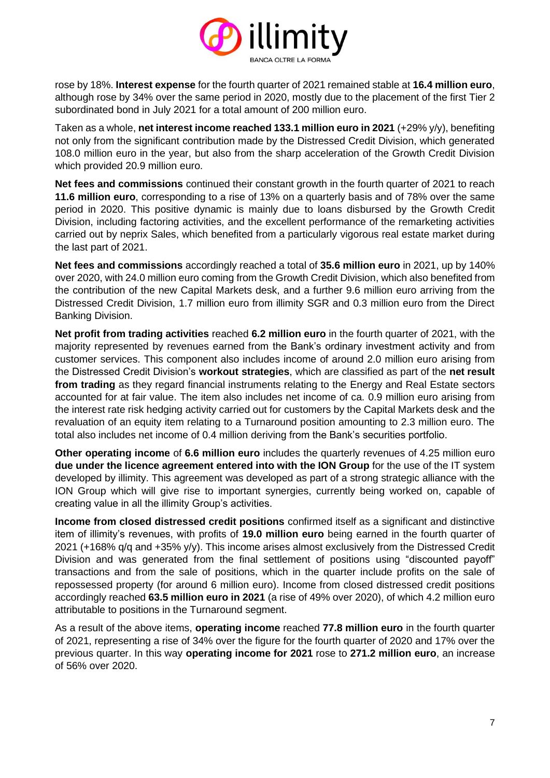

rose by 18%. **Interest expense** for the fourth quarter of 2021 remained stable at **16.4 million euro**, although rose by 34% over the same period in 2020, mostly due to the placement of the first Tier 2 subordinated bond in July 2021 for a total amount of 200 million euro.

Taken as a whole, **net interest income reached 133.1 million euro in 2021** (+29% y/y), benefiting not only from the significant contribution made by the Distressed Credit Division, which generated 108.0 million euro in the year, but also from the sharp acceleration of the Growth Credit Division which provided 20.9 million euro.

**Net fees and commissions** continued their constant growth in the fourth quarter of 2021 to reach **11.6 million euro**, corresponding to a rise of 13% on a quarterly basis and of 78% over the same period in 2020. This positive dynamic is mainly due to loans disbursed by the Growth Credit Division, including factoring activities, and the excellent performance of the remarketing activities carried out by neprix Sales, which benefited from a particularly vigorous real estate market during the last part of 2021.

**Net fees and commissions** accordingly reached a total of **35.6 million euro** in 2021, up by 140% over 2020, with 24.0 million euro coming from the Growth Credit Division, which also benefited from the contribution of the new Capital Markets desk, and a further 9.6 million euro arriving from the Distressed Credit Division, 1.7 million euro from illimity SGR and 0.3 million euro from the Direct Banking Division.

**Net profit from trading activities** reached **6.2 million euro** in the fourth quarter of 2021, with the majority represented by revenues earned from the Bank's ordinary investment activity and from customer services. This component also includes income of around 2.0 million euro arising from the Distressed Credit Division's **workout strategies**, which are classified as part of the **net result from trading** as they regard financial instruments relating to the Energy and Real Estate sectors accounted for at fair value. The item also includes net income of ca. 0.9 million euro arising from the interest rate risk hedging activity carried out for customers by the Capital Markets desk and the revaluation of an equity item relating to a Turnaround position amounting to 2.3 million euro. The total also includes net income of 0.4 million deriving from the Bank's securities portfolio.

**Other operating income** of **6.6 million euro** includes the quarterly revenues of 4.25 million euro **due under the licence agreement entered into with the ION Group** for the use of the IT system developed by illimity. This agreement was developed as part of a strong strategic alliance with the ION Group which will give rise to important synergies, currently being worked on, capable of creating value in all the illimity Group's activities.

**Income from closed distressed credit positions** confirmed itself as a significant and distinctive item of illimity's revenues, with profits of **19.0 million euro** being earned in the fourth quarter of 2021 (+168% q/q and +35% y/y). This income arises almost exclusively from the Distressed Credit Division and was generated from the final settlement of positions using "discounted payoff" transactions and from the sale of positions, which in the quarter include profits on the sale of repossessed property (for around 6 million euro). Income from closed distressed credit positions accordingly reached **63.5 million euro in 2021** (a rise of 49% over 2020), of which 4.2 million euro attributable to positions in the Turnaround segment.

As a result of the above items, **operating income** reached **77.8 million euro** in the fourth quarter of 2021, representing a rise of 34% over the figure for the fourth quarter of 2020 and 17% over the previous quarter. In this way **operating income for 2021** rose to **271.2 million euro**, an increase of 56% over 2020.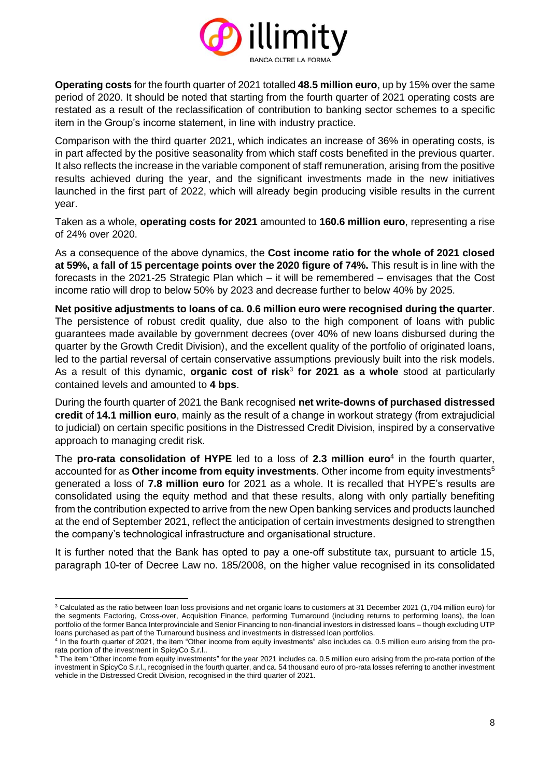

**Operating costs** for the fourth quarter of 2021 totalled **48.5 million euro**, up by 15% over the same period of 2020. It should be noted that starting from the fourth quarter of 2021 operating costs are restated as a result of the reclassification of contribution to banking sector schemes to a specific item in the Group's income statement, in line with industry practice.

Comparison with the third quarter 2021, which indicates an increase of 36% in operating costs, is in part affected by the positive seasonality from which staff costs benefited in the previous quarter. It also reflects the increase in the variable component of staff remuneration, arising from the positive results achieved during the year, and the significant investments made in the new initiatives launched in the first part of 2022, which will already begin producing visible results in the current year.

Taken as a whole, **operating costs for 2021** amounted to **160.6 million euro**, representing a rise of 24% over 2020.

As a consequence of the above dynamics, the **Cost income ratio for the whole of 2021 closed at 59%, a fall of 15 percentage points over the 2020 figure of 74%.** This result is in line with the forecasts in the 2021-25 Strategic Plan which – it will be remembered – envisages that the Cost income ratio will drop to below 50% by 2023 and decrease further to below 40% by 2025.

**Net positive adjustments to loans of ca. 0.6 million euro were recognised during the quarter**. The persistence of robust credit quality, due also to the high component of loans with public guarantees made available by government decrees (over 40% of new loans disbursed during the quarter by the Growth Credit Division), and the excellent quality of the portfolio of originated loans, led to the partial reversal of certain conservative assumptions previously built into the risk models. As a result of this dynamic, **organic cost of risk**<sup>3</sup> **for 2021 as a whole** stood at particularly contained levels and amounted to **4 bps**.

During the fourth quarter of 2021 the Bank recognised **net write-downs of purchased distressed credit** of **14.1 million euro**, mainly as the result of a change in workout strategy (from extrajudicial to judicial) on certain specific positions in the Distressed Credit Division, inspired by a conservative approach to managing credit risk.

The **pro-rata consolidation of HYPE** led to a loss of **2.3 million euro**<sup>4</sup> in the fourth quarter, accounted for as **Other income from equity investments**. Other income from equity investments<sup>5</sup> generated a loss of **7.8 million euro** for 2021 as a whole. It is recalled that HYPE's results are consolidated using the equity method and that these results, along with only partially benefiting from the contribution expected to arrive from the new Open banking services and products launched at the end of September 2021, reflect the anticipation of certain investments designed to strengthen the company's technological infrastructure and organisational structure.

It is further noted that the Bank has opted to pay a one-off substitute tax, pursuant to article 15, paragraph 10-ter of Decree Law no. 185/2008, on the higher value recognised in its consolidated

<sup>&</sup>lt;sup>3</sup> Calculated as the ratio between loan loss provisions and net organic loans to customers at 31 December 2021 (1,704 million euro) for the segments Factoring, Cross-over, Acquisition Finance, performing Turnaround (including returns to performing loans), the loan portfolio of the former Banca Interprovinciale and Senior Financing to non-financial investors in distressed loans – though excluding UTP loans purchased as part of the Turnaround business and investments in distressed loan portfolios.

<sup>4</sup> In the fourth quarter of 2021, the item "Other income from equity investments" also includes ca. 0.5 million euro arising from the prorata portion of the investment in SpicyCo S.r.l..

<sup>&</sup>lt;sup>5</sup> The item "Other income from equity investments" for the year 2021 includes ca. 0.5 million euro arising from the pro-rata portion of the investment in SpicyCo S.r.l., recognised in the fourth quarter, and ca. 54 thousand euro of pro-rata losses referring to another investment vehicle in the Distressed Credit Division, recognised in the third quarter of 2021.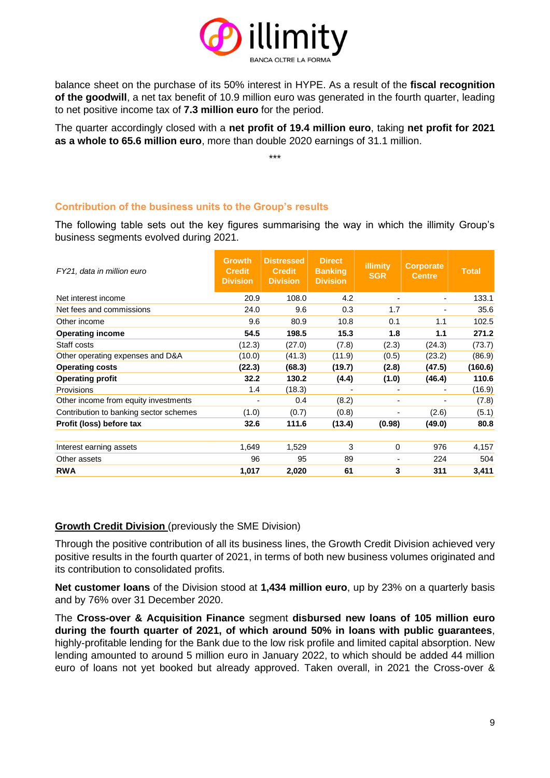

balance sheet on the purchase of its 50% interest in HYPE. As a result of the **fiscal recognition of the goodwill**, a net tax benefit of 10.9 million euro was generated in the fourth quarter, leading to net positive income tax of **7.3 million euro** for the period.

The quarter accordingly closed with a **net profit of 19.4 million euro**, taking **net profit for 2021 as a whole to 65.6 million euro**, more than double 2020 earnings of 31.1 million.

\*\*\*

### **Contribution of the business units to the Group's results**

The following table sets out the key figures summarising the way in which the illimity Group's business segments evolved during 2021.

| FY21, data in million euro             | <b>Growth</b><br><b>Credit</b><br><b>Division</b> | <b>Distressed</b><br><b>Credit</b><br><b>Division</b> | <b>Direct</b><br><b>Banking</b><br><b>Division</b> | <b>illimity</b><br><b>SGR</b> | <b>Corporate</b><br><b>Centre</b> | <b>Total</b> |
|----------------------------------------|---------------------------------------------------|-------------------------------------------------------|----------------------------------------------------|-------------------------------|-----------------------------------|--------------|
| Net interest income                    | 20.9                                              | 108.0                                                 | 4.2                                                |                               |                                   | 133.1        |
| Net fees and commissions               | 24.0                                              | 9.6                                                   | 0.3                                                | 1.7                           |                                   | 35.6         |
| Other income                           | 9.6                                               | 80.9                                                  | 10.8                                               | 0.1                           | 1.1                               | 102.5        |
| <b>Operating income</b>                | 54.5                                              | 198.5                                                 | 15.3                                               | 1.8                           | 1.1                               | 271.2        |
| Staff costs                            | (12.3)                                            | (27.0)                                                | (7.8)                                              | (2.3)                         | (24.3)                            | (73.7)       |
| Other operating expenses and D&A       | (10.0)                                            | (41.3)                                                | (11.9)                                             | (0.5)                         | (23.2)                            | (86.9)       |
| <b>Operating costs</b>                 | (22.3)                                            | (68.3)                                                | (19.7)                                             | (2.8)                         | (47.5)                            | (160.6)      |
| <b>Operating profit</b>                | 32.2                                              | 130.2                                                 | (4.4)                                              | (1.0)                         | (46.4)                            | 110.6        |
| Provisions                             | 1.4                                               | (18.3)                                                |                                                    |                               |                                   | (16.9)       |
| Other income from equity investments   |                                                   | 0.4                                                   | (8.2)                                              |                               |                                   | (7.8)        |
| Contribution to banking sector schemes | (1.0)                                             | (0.7)                                                 | (0.8)                                              |                               | (2.6)                             | (5.1)        |
| Profit (loss) before tax               | 32.6                                              | 111.6                                                 | (13.4)                                             | (0.98)                        | (49.0)                            | 80.8         |
| Interest earning assets                | 1,649                                             | 1,529                                                 | 3                                                  | 0                             | 976                               | 4,157        |
| Other assets                           | 96                                                | 95                                                    | 89                                                 |                               | 224                               | 504          |
| <b>RWA</b>                             | 1,017                                             | 2,020                                                 | 61                                                 | 3                             | 311                               | 3,411        |

### **Growth Credit Division** (previously the SME Division)

Through the positive contribution of all its business lines, the Growth Credit Division achieved very positive results in the fourth quarter of 2021, in terms of both new business volumes originated and its contribution to consolidated profits.

**Net customer loans** of the Division stood at **1,434 million euro**, up by 23% on a quarterly basis and by 76% over 31 December 2020.

The **Cross-over & Acquisition Finance** segment **disbursed new loans of 105 million euro during the fourth quarter of 2021, of which around 50% in loans with public guarantees**, highly-profitable lending for the Bank due to the low risk profile and limited capital absorption. New lending amounted to around 5 million euro in January 2022, to which should be added 44 million euro of loans not yet booked but already approved. Taken overall, in 2021 the Cross-over &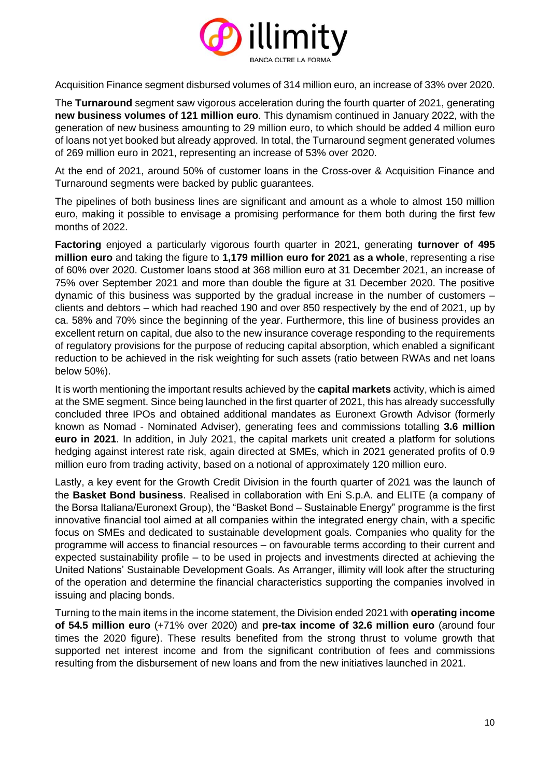

Acquisition Finance segment disbursed volumes of 314 million euro, an increase of 33% over 2020.

The **Turnaround** segment saw vigorous acceleration during the fourth quarter of 2021, generating **new business volumes of 121 million euro**. This dynamism continued in January 2022, with the generation of new business amounting to 29 million euro, to which should be added 4 million euro of loans not yet booked but already approved. In total, the Turnaround segment generated volumes of 269 million euro in 2021, representing an increase of 53% over 2020.

At the end of 2021, around 50% of customer loans in the Cross-over & Acquisition Finance and Turnaround segments were backed by public guarantees.

The pipelines of both business lines are significant and amount as a whole to almost 150 million euro, making it possible to envisage a promising performance for them both during the first few months of 2022.

**Factoring** enjoyed a particularly vigorous fourth quarter in 2021, generating **turnover of 495 million euro** and taking the figure to **1,179 million euro for 2021 as a whole**, representing a rise of 60% over 2020. Customer loans stood at 368 million euro at 31 December 2021, an increase of 75% over September 2021 and more than double the figure at 31 December 2020. The positive dynamic of this business was supported by the gradual increase in the number of customers – clients and debtors – which had reached 190 and over 850 respectively by the end of 2021, up by ca. 58% and 70% since the beginning of the year. Furthermore, this line of business provides an excellent return on capital, due also to the new insurance coverage responding to the requirements of regulatory provisions for the purpose of reducing capital absorption, which enabled a significant reduction to be achieved in the risk weighting for such assets (ratio between RWAs and net loans below 50%).

It is worth mentioning the important results achieved by the **capital markets** activity, which is aimed at the SME segment. Since being launched in the first quarter of 2021, this has already successfully concluded three IPOs and obtained additional mandates as Euronext Growth Advisor (formerly known as Nomad - Nominated Adviser), generating fees and commissions totalling **3.6 million euro in 2021**. In addition, in July 2021, the capital markets unit created a platform for solutions hedging against interest rate risk, again directed at SMEs, which in 2021 generated profits of 0.9 million euro from trading activity, based on a notional of approximately 120 million euro.

Lastly, a key event for the Growth Credit Division in the fourth quarter of 2021 was the launch of the **Basket Bond business**. Realised in collaboration with Eni S.p.A. and ELITE (a company of the Borsa Italiana/Euronext Group), the "Basket Bond – Sustainable Energy" programme is the first innovative financial tool aimed at all companies within the integrated energy chain, with a specific focus on SMEs and dedicated to sustainable development goals. Companies who quality for the programme will access to financial resources – on favourable terms according to their current and expected sustainability profile – to be used in projects and investments directed at achieving the United Nations' Sustainable Development Goals. As Arranger, illimity will look after the structuring of the operation and determine the financial characteristics supporting the companies involved in issuing and placing bonds.

Turning to the main items in the income statement, the Division ended 2021 with **operating income of 54.5 million euro** (+71% over 2020) and **pre-tax income of 32.6 million euro** (around four times the 2020 figure). These results benefited from the strong thrust to volume growth that supported net interest income and from the significant contribution of fees and commissions resulting from the disbursement of new loans and from the new initiatives launched in 2021.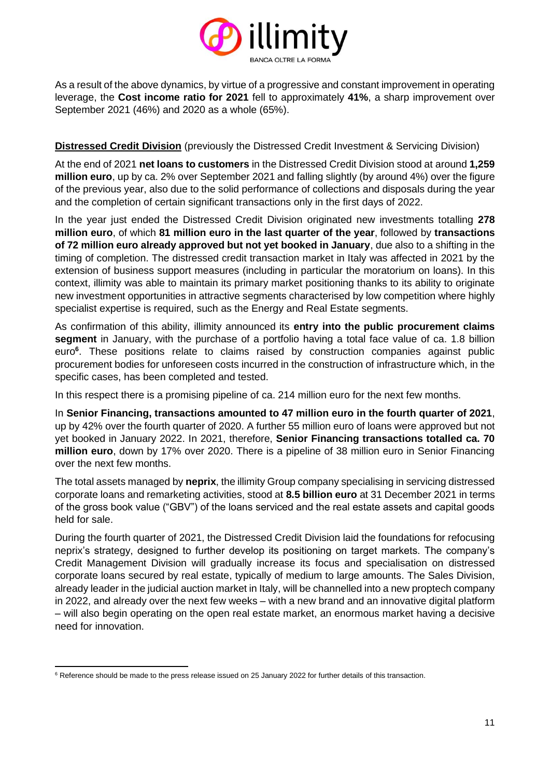

As a result of the above dynamics, by virtue of a progressive and constant improvement in operating leverage, the **Cost income ratio for 2021** fell to approximately **41%**, a sharp improvement over September 2021 (46%) and 2020 as a whole (65%).

#### **Distressed Credit Division** (previously the Distressed Credit Investment & Servicing Division)

At the end of 2021 **net loans to customers** in the Distressed Credit Division stood at around **1,259 million euro**, up by ca. 2% over September 2021 and falling slightly (by around 4%) over the figure of the previous year, also due to the solid performance of collections and disposals during the year and the completion of certain significant transactions only in the first days of 2022.

In the year just ended the Distressed Credit Division originated new investments totalling **278 million euro**, of which **81 million euro in the last quarter of the year**, followed by **transactions of 72 million euro already approved but not yet booked in January**, due also to a shifting in the timing of completion. The distressed credit transaction market in Italy was affected in 2021 by the extension of business support measures (including in particular the moratorium on loans). In this context, illimity was able to maintain its primary market positioning thanks to its ability to originate new investment opportunities in attractive segments characterised by low competition where highly specialist expertise is required, such as the Energy and Real Estate segments.

As confirmation of this ability, illimity announced its **entry into the public procurement claims segment** in January, with the purchase of a portfolio having a total face value of ca. 1.8 billion euro**<sup>6</sup>** . These positions relate to claims raised by construction companies against public procurement bodies for unforeseen costs incurred in the construction of infrastructure which, in the specific cases, has been completed and tested.

In this respect there is a promising pipeline of ca. 214 million euro for the next few months.

In **Senior Financing, transactions amounted to 47 million euro in the fourth quarter of 2021**, up by 42% over the fourth quarter of 2020. A further 55 million euro of loans were approved but not yet booked in January 2022. In 2021, therefore, **Senior Financing transactions totalled ca. 70 million euro**, down by 17% over 2020. There is a pipeline of 38 million euro in Senior Financing over the next few months.

The total assets managed by **neprix**, the illimity Group company specialising in servicing distressed corporate loans and remarketing activities, stood at **8.5 billion euro** at 31 December 2021 in terms of the gross book value ("GBV") of the loans serviced and the real estate assets and capital goods held for sale.

During the fourth quarter of 2021, the Distressed Credit Division laid the foundations for refocusing neprix's strategy, designed to further develop its positioning on target markets. The company's Credit Management Division will gradually increase its focus and specialisation on distressed corporate loans secured by real estate, typically of medium to large amounts. The Sales Division, already leader in the judicial auction market in Italy, will be channelled into a new proptech company in 2022, and already over the next few weeks – with a new brand and an innovative digital platform – will also begin operating on the open real estate market, an enormous market having a decisive need for innovation.

 $6$  Reference should be made to the press release issued on 25 January 2022 for further details of this transaction.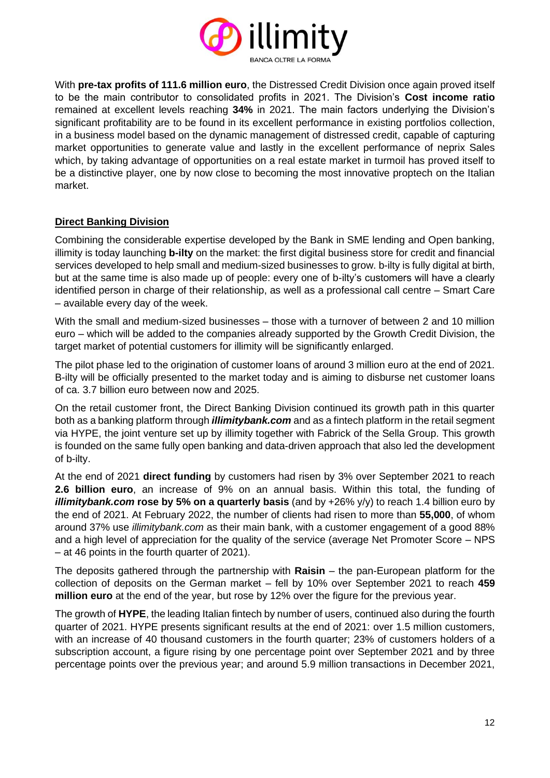

With **pre-tax profits of 111.6 million euro**, the Distressed Credit Division once again proved itself to be the main contributor to consolidated profits in 2021. The Division's **Cost income ratio** remained at excellent levels reaching **34%** in 2021. The main factors underlying the Division's significant profitability are to be found in its excellent performance in existing portfolios collection, in a business model based on the dynamic management of distressed credit, capable of capturing market opportunities to generate value and lastly in the excellent performance of neprix Sales which, by taking advantage of opportunities on a real estate market in turmoil has proved itself to be a distinctive player, one by now close to becoming the most innovative proptech on the Italian market.

### **Direct Banking Division**

Combining the considerable expertise developed by the Bank in SME lending and Open banking, illimity is today launching **b-ilty** on the market: the first digital business store for credit and financial services developed to help small and medium-sized businesses to grow. b-ilty is fully digital at birth, but at the same time is also made up of people: every one of b-ilty's customers will have a clearly identified person in charge of their relationship, as well as a professional call centre – Smart Care – available every day of the week.

With the small and medium-sized businesses – those with a turnover of between 2 and 10 million euro – which will be added to the companies already supported by the Growth Credit Division, the target market of potential customers for illimity will be significantly enlarged.

The pilot phase led to the origination of customer loans of around 3 million euro at the end of 2021. B-ilty will be officially presented to the market today and is aiming to disburse net customer loans of ca. 3.7 billion euro between now and 2025.

On the retail customer front, the Direct Banking Division continued its growth path in this quarter both as a banking platform through *illimitybank.com* and as a fintech platform in the retail segment via HYPE, the joint venture set up by illimity together with Fabrick of the Sella Group. This growth is founded on the same fully open banking and data-driven approach that also led the development of b-ilty.

At the end of 2021 **direct funding** by customers had risen by 3% over September 2021 to reach **2.6 billion euro**, an increase of 9% on an annual basis. Within this total, the funding of *illimitybank.com* **rose by 5% on a quarterly basis** (and by +26% y/y) to reach 1.4 billion euro by the end of 2021. At February 2022, the number of clients had risen to more than **55,000**, of whom around 37% use *illimitybank.com* as their main bank, with a customer engagement of a good 88% and a high level of appreciation for the quality of the service (average Net Promoter Score – NPS – at 46 points in the fourth quarter of 2021).

The deposits gathered through the partnership with **Raisin** – the pan-European platform for the collection of deposits on the German market – fell by 10% over September 2021 to reach **459 million euro** at the end of the year, but rose by 12% over the figure for the previous year.

The growth of **HYPE**, the leading Italian fintech by number of users, continued also during the fourth quarter of 2021. HYPE presents significant results at the end of 2021: over 1.5 million customers, with an increase of 40 thousand customers in the fourth quarter; 23% of customers holders of a subscription account, a figure rising by one percentage point over September 2021 and by three percentage points over the previous year; and around 5.9 million transactions in December 2021,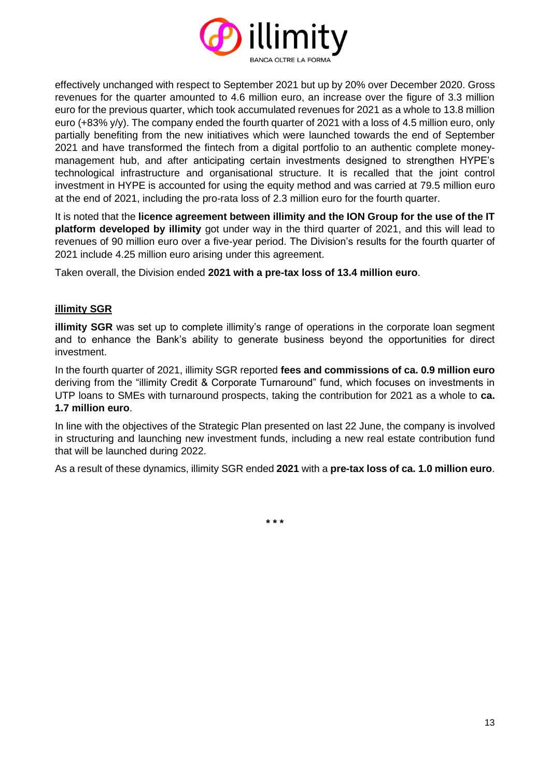

effectively unchanged with respect to September 2021 but up by 20% over December 2020. Gross revenues for the quarter amounted to 4.6 million euro, an increase over the figure of 3.3 million euro for the previous quarter, which took accumulated revenues for 2021 as a whole to 13.8 million euro (+83% y/y). The company ended the fourth quarter of 2021 with a loss of 4.5 million euro, only partially benefiting from the new initiatives which were launched towards the end of September 2021 and have transformed the fintech from a digital portfolio to an authentic complete moneymanagement hub, and after anticipating certain investments designed to strengthen HYPE's technological infrastructure and organisational structure. It is recalled that the joint control investment in HYPE is accounted for using the equity method and was carried at 79.5 million euro at the end of 2021, including the pro-rata loss of 2.3 million euro for the fourth quarter.

It is noted that the **licence agreement between illimity and the ION Group for the use of the IT platform developed by illimity** got under way in the third quarter of 2021, and this will lead to revenues of 90 million euro over a five-year period. The Division's results for the fourth quarter of 2021 include 4.25 million euro arising under this agreement.

Taken overall, the Division ended **2021 with a pre-tax loss of 13.4 million euro**.

#### **illimity SGR**

**illimity SGR** was set up to complete illimity's range of operations in the corporate loan segment and to enhance the Bank's ability to generate business beyond the opportunities for direct investment.

In the fourth quarter of 2021, illimity SGR reported **fees and commissions of ca. 0.9 million euro** deriving from the "illimity Credit & Corporate Turnaround" fund, which focuses on investments in UTP loans to SMEs with turnaround prospects, taking the contribution for 2021 as a whole to **ca. 1.7 million euro**.

In line with the objectives of the Strategic Plan presented on last 22 June, the company is involved in structuring and launching new investment funds, including a new real estate contribution fund that will be launched during 2022.

As a result of these dynamics, illimity SGR ended **2021** with a **pre-tax loss of ca. 1.0 million euro**.

**\* \* \***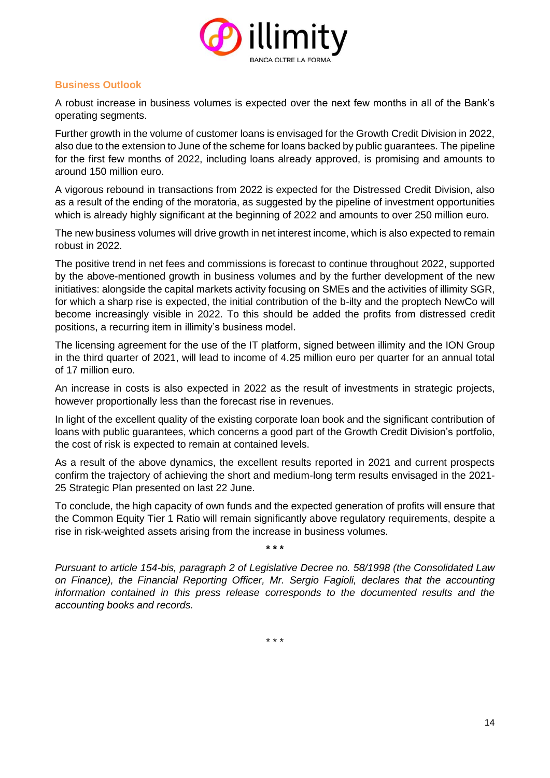

### **Business Outlook**

A robust increase in business volumes is expected over the next few months in all of the Bank's operating segments.

Further growth in the volume of customer loans is envisaged for the Growth Credit Division in 2022, also due to the extension to June of the scheme for loans backed by public guarantees. The pipeline for the first few months of 2022, including loans already approved, is promising and amounts to around 150 million euro.

A vigorous rebound in transactions from 2022 is expected for the Distressed Credit Division, also as a result of the ending of the moratoria, as suggested by the pipeline of investment opportunities which is already highly significant at the beginning of 2022 and amounts to over 250 million euro.

The new business volumes will drive growth in net interest income, which is also expected to remain robust in 2022.

The positive trend in net fees and commissions is forecast to continue throughout 2022, supported by the above-mentioned growth in business volumes and by the further development of the new initiatives: alongside the capital markets activity focusing on SMEs and the activities of illimity SGR, for which a sharp rise is expected, the initial contribution of the b-ilty and the proptech NewCo will become increasingly visible in 2022. To this should be added the profits from distressed credit positions, a recurring item in illimity's business model.

The licensing agreement for the use of the IT platform, signed between illimity and the ION Group in the third quarter of 2021, will lead to income of 4.25 million euro per quarter for an annual total of 17 million euro.

An increase in costs is also expected in 2022 as the result of investments in strategic projects, however proportionally less than the forecast rise in revenues.

In light of the excellent quality of the existing corporate loan book and the significant contribution of loans with public guarantees, which concerns a good part of the Growth Credit Division's portfolio, the cost of risk is expected to remain at contained levels.

As a result of the above dynamics, the excellent results reported in 2021 and current prospects confirm the trajectory of achieving the short and medium-long term results envisaged in the 2021- 25 Strategic Plan presented on last 22 June.

To conclude, the high capacity of own funds and the expected generation of profits will ensure that the Common Equity Tier 1 Ratio will remain significantly above regulatory requirements, despite a rise in risk-weighted assets arising from the increase in business volumes.

**\* \* \***

*Pursuant to article 154-bis, paragraph 2 of Legislative Decree no. 58/1998 (the Consolidated Law on Finance), the Financial Reporting Officer, Mr. Sergio Fagioli, declares that the accounting information contained in this press release corresponds to the documented results and the accounting books and records.*

\* \* \*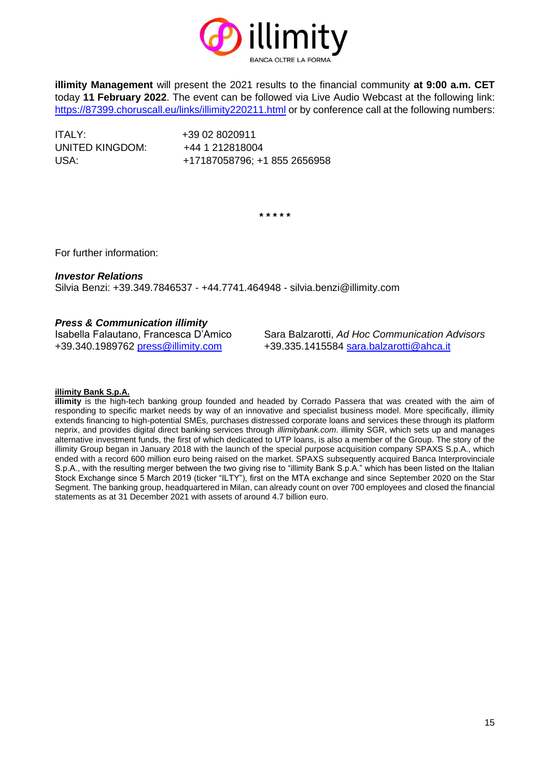

**illimity Management** will present the 2021 results to the financial community **at 9:00 a.m. CET** today **11 February 2022**. The event can be followed via Live Audio Webcast at the following link: <https://87399.choruscall.eu/links/illimity220211.html> or by conference call at the following numbers:

ITALY: +39 02 8020911 UNITED KINGDOM: +44 1 212818004

USA: +17187058796; +1 855 2656958

**\* \* \* \* \***

For further information:

#### *Investor Relations*

Silvia Benzi: +39.349.7846537 - +44.7741.464948 - silvia.benzi@illimity.com

#### *Press & Communication illimity*

Isabella Falautano, Francesca D'Amico Sara Balzarotti, *Ad Hoc Communication Advisors* +39.340.1989762 [press@illimity.com](mailto:press@illimity.com) +39.335.1415584 [sara.balzarotti@ahca.it](mailto:sara.balzarotti@ahca.it)

#### **illimity Bank S.p.A.**

**illimity** is the high-tech banking group founded and headed by Corrado Passera that was created with the aim of responding to specific market needs by way of an innovative and specialist business model. More specifically, illimity extends financing to high-potential SMEs, purchases distressed corporate loans and services these through its platform neprix, and provides digital direct banking services through *illimitybank.com*. illimity SGR, which sets up and manages alternative investment funds, the first of which dedicated to UTP loans, is also a member of the Group. The story of the illimity Group began in January 2018 with the launch of the special purpose acquisition company SPAXS S.p.A., which ended with a record 600 million euro being raised on the market. SPAXS subsequently acquired Banca Interprovinciale S.p.A., with the resulting merger between the two giving rise to "illimity Bank S.p.A." which has been listed on the Italian Stock Exchange since 5 March 2019 (ticker "ILTY"), first on the MTA exchange and since September 2020 on the Star Segment. The banking group, headquartered in Milan, can already count on over 700 employees and closed the financial statements as at 31 December 2021 with assets of around 4.7 billion euro.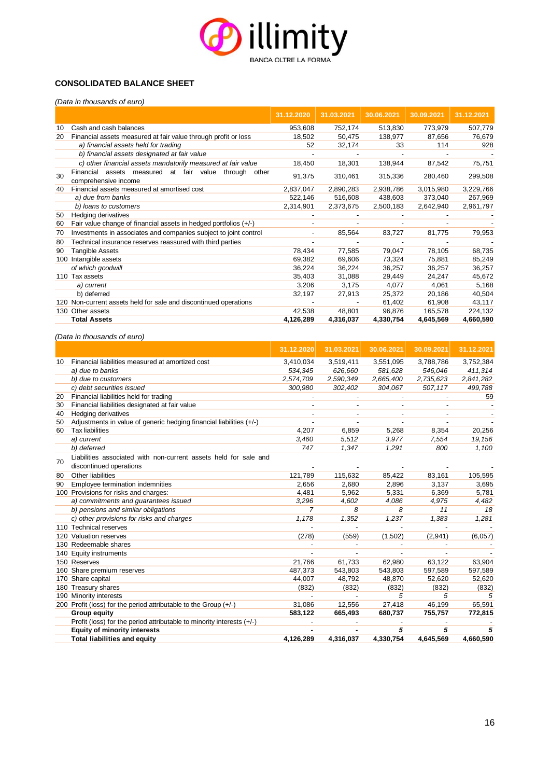

#### **CONSOLIDATED BALANCE SHEET**

*(Data in thousands of euro)*

|     |                                                                                           | 31.12.2020 | 31.03.2021 | 30.06.2021 | 30.09.2021 | 31.12.2021 |
|-----|-------------------------------------------------------------------------------------------|------------|------------|------------|------------|------------|
| 10  | Cash and cash balances                                                                    | 953,608    | 752,174    | 513,830    | 773,979    | 507,779    |
| 20  | Financial assets measured at fair value through profit or loss                            | 18,502     | 50,475     | 138,977    | 87,656     | 76,679     |
|     | a) financial assets held for trading                                                      | 52         | 32,174     | 33         | 114        | 928        |
|     | b) financial assets designated at fair value                                              |            |            |            |            |            |
|     | c) other financial assets mandatorily measured at fair value                              | 18,450     | 18,301     | 138,944    | 87,542     | 75,751     |
| 30  | assets measured at fair<br>Financial<br>value<br>through<br>other<br>comprehensive income | 91,375     | 310,461    | 315,336    | 280,460    | 299,508    |
| 40  | Financial assets measured at amortised cost                                               | 2,837,047  | 2,890,283  | 2,938,786  | 3,015,980  | 3,229,766  |
|     | a) due from banks                                                                         | 522,146    | 516,608    | 438,603    | 373,040    | 267,969    |
|     | b) loans to customers                                                                     | 2,314,901  | 2,373,675  | 2,500,183  | 2,642,940  | 2,961,797  |
| 50  | Hedging derivatives                                                                       |            |            |            |            |            |
| 60  | Fair value change of financial assets in hedged portfolios (+/-)                          |            |            |            |            |            |
| 70  | Investments in associates and companies subject to joint control                          |            | 85,564     | 83,727     | 81,775     | 79,953     |
| 80  | Technical insurance reserves reassured with third parties                                 |            |            |            |            |            |
| 90  | Tangible Assets                                                                           | 78,434     | 77,585     | 79,047     | 78,105     | 68,735     |
| 100 | Intangible assets                                                                         | 69,382     | 69,606     | 73,324     | 75,881     | 85,249     |
|     | of which goodwill                                                                         | 36,224     | 36,224     | 36,257     | 36,257     | 36,257     |
|     | 110 Tax assets                                                                            | 35,403     | 31,088     | 29,449     | 24,247     | 45,672     |
|     | a) current                                                                                | 3,206      | 3,175      | 4,077      | 4,061      | 5,168      |
|     | b) deferred                                                                               | 32,197     | 27,913     | 25,372     | 20,186     | 40,504     |
|     | 120 Non-current assets held for sale and discontinued operations                          |            |            | 61,402     | 61,908     | 43,117     |
|     | 130 Other assets                                                                          | 42,538     | 48,801     | 96,876     | 165,578    | 224,132    |
|     | <b>Total Assets</b>                                                                       | 4,126,289  | 4,316,037  | 4,330,754  | 4,645,569  | 4,660,590  |

*(Data in thousands of euro)*

|     |                                                                         | 31.12.2020               | 31.03.2021               | 30.06.2021               | 30.09.2021               | 31.12.2021 |
|-----|-------------------------------------------------------------------------|--------------------------|--------------------------|--------------------------|--------------------------|------------|
| 10  | Financial liabilities measured at amortized cost                        | 3,410,034                | 3,519,411                | 3,551,095                | 3,788,786                | 3,752,384  |
|     | a) due to banks                                                         | 534,345                  | 626,660                  | 581,628                  | 546,046                  | 411,314    |
|     | b) due to customers                                                     | 2,574,709                | 2,590,349                | 2,665,400                | 2,735,623                | 2,841,282  |
|     | c) debt securities issued                                               | 300,980                  | 302,402                  | 304,067                  | 507,117                  | 499,788    |
| 20  | Financial liabilities held for trading                                  |                          |                          |                          |                          | 59         |
| 30  | Financial liabilities designated at fair value                          | $\overline{\phantom{a}}$ | $\overline{\phantom{0}}$ | $\overline{\phantom{a}}$ | $\overline{\phantom{a}}$ |            |
| 40  | <b>Hedging derivatives</b>                                              |                          | $\overline{a}$           |                          |                          |            |
| 50  | Adjustments in value of generic hedging financial liabilities (+/-)     |                          |                          |                          |                          |            |
| 60  | <b>Tax liabilities</b>                                                  | 4.207                    | 6,859                    | 5,268                    | 8,354                    | 20,256     |
|     | a) current                                                              | 3,460                    | 5,512                    | 3,977                    | 7,554                    | 19,156     |
|     | b) deferred                                                             | 747                      | 1,347                    | 1,291                    | 800                      | 1,100      |
|     | Liabilities associated with non-current assets held for sale and        |                          |                          |                          |                          |            |
| 70  | discontinued operations                                                 |                          |                          |                          |                          |            |
| 80  | Other liabilities                                                       | 121,789                  | 115,632                  | 85,422                   | 83,161                   | 105,595    |
| 90  | Employee termination indemnities                                        | 2,656                    | 2,680                    | 2,896                    | 3,137                    | 3,695      |
|     | 100 Provisions for risks and charges:                                   | 4,481                    | 5,962                    | 5,331                    | 6,369                    | 5,781      |
|     | a) commitments and guarantees issued                                    | 3,296                    | 4,602                    | 4,086                    | 4,975                    | 4,482      |
|     | b) pensions and similar obligations                                     | $\overline{7}$           | 8                        | 8                        | 11                       | 18         |
|     | c) other provisions for risks and charges                               | 1,178                    | 1,352                    | 1,237                    | 1,383                    | 1,281      |
|     | 110 Technical reserves                                                  |                          |                          |                          |                          |            |
| 120 | Valuation reserves                                                      | (278)                    | (559)                    | (1,502)                  | (2,941)                  | (6,057)    |
|     | 130 Redeemable shares                                                   |                          |                          |                          |                          |            |
| 140 | <b>Equity instruments</b>                                               |                          |                          |                          |                          |            |
|     | 150 Reserves                                                            | 21,766                   | 61,733                   | 62,980                   | 63,122                   | 63,904     |
| 160 | Share premium reserves                                                  | 487,373                  | 543,803                  | 543,803                  | 597,589                  | 597,589    |
| 170 | Share capital                                                           | 44,007                   | 48,792                   | 48,870                   | 52,620                   | 52,620     |
| 180 | <b>Treasury shares</b>                                                  | (832)                    | (832)                    | (832)                    | (832)                    | (832)      |
| 190 | Minority interests                                                      |                          |                          | 5                        | 5                        |            |
|     | 200 Profit (loss) for the period attributable to the Group (+/-)        | 31,086                   | 12,556                   | 27,418                   | 46,199                   | 65,591     |
|     | <b>Group equity</b>                                                     | 583,122                  | 665,493                  | 680,737                  | 755,757                  | 772,815    |
|     | Profit (loss) for the period attributable to minority interests $(+/-)$ |                          |                          |                          |                          |            |
|     | <b>Equity of minority interests</b>                                     |                          |                          | 5                        | 5                        | 5          |
|     | <b>Total liabilities and equity</b>                                     | 4,126,289                | 4,316,037                | 4,330,754                | 4,645,569                | 4,660,590  |